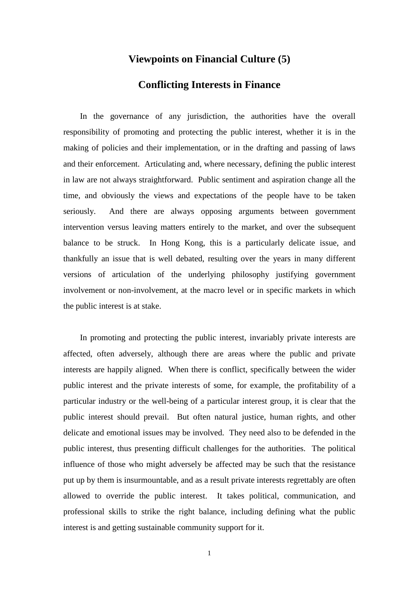## **Viewpoints on Financial Culture (5)**

## **Conflicting Interests in Finance**

In the governance of any jurisdiction, the authorities have the overall responsibility of promoting and protecting the public interest, whether it is in the making of policies and their implementation, or in the drafting and passing of laws and their enforcement. Articulating and, where necessary, defining the public interest in law are not always straightforward. Public sentiment and aspiration change all the time, and obviously the views and expectations of the people have to be taken seriously. And there are always opposing arguments between government intervention versus leaving matters entirely to the market, and over the subsequent balance to be struck. In Hong Kong, this is a particularly delicate issue, and thankfully an issue that is well debated, resulting over the years in many different versions of articulation of the underlying philosophy justifying government involvement or non-involvement, at the macro level or in specific markets in which the public interest is at stake.

In promoting and protecting the public interest, invariably private interests are affected, often adversely, although there are areas where the public and private interests are happily aligned. When there is conflict, specifically between the wider public interest and the private interests of some, for example, the profitability of a particular industry or the well-being of a particular interest group, it is clear that the public interest should prevail. But often natural justice, human rights, and other delicate and emotional issues may be involved. They need also to be defended in the public interest, thus presenting difficult challenges for the authorities. The political influence of those who might adversely be affected may be such that the resistance put up by them is insurmountable, and as a result private interests regrettably are often allowed to override the public interest. It takes political, communication, and professional skills to strike the right balance, including defining what the public interest is and getting sustainable community support for it.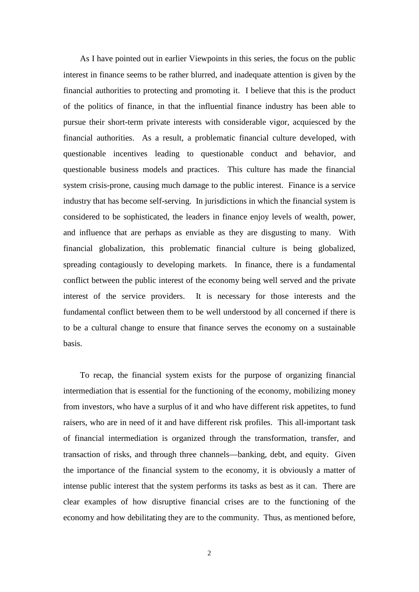As I have pointed out in earlier Viewpoints in this series, the focus on the public interest in finance seems to be rather blurred, and inadequate attention is given by the financial authorities to protecting and promoting it. I believe that this is the product of the politics of finance, in that the influential finance industry has been able to pursue their short-term private interests with considerable vigor, acquiesced by the financial authorities. As a result, a problematic financial culture developed, with questionable incentives leading to questionable conduct and behavior, and questionable business models and practices. This culture has made the financial system crisis-prone, causing much damage to the public interest. Finance is a service industry that has become self-serving. In jurisdictions in which the financial system is considered to be sophisticated, the leaders in finance enjoy levels of wealth, power, and influence that are perhaps as enviable as they are disgusting to many. With financial globalization, this problematic financial culture is being globalized, spreading contagiously to developing markets. In finance, there is a fundamental conflict between the public interest of the economy being well served and the private interest of the service providers. It is necessary for those interests and the fundamental conflict between them to be well understood by all concerned if there is to be a cultural change to ensure that finance serves the economy on a sustainable basis.

To recap, the financial system exists for the purpose of organizing financial intermediation that is essential for the functioning of the economy, mobilizing money from investors, who have a surplus of it and who have different risk appetites, to fund raisers, who are in need of it and have different risk profiles. This all-important task of financial intermediation is organized through the transformation, transfer, and transaction of risks, and through three channels—banking, debt, and equity. Given the importance of the financial system to the economy, it is obviously a matter of intense public interest that the system performs its tasks as best as it can. There are clear examples of how disruptive financial crises are to the functioning of the economy and how debilitating they are to the community. Thus, as mentioned before,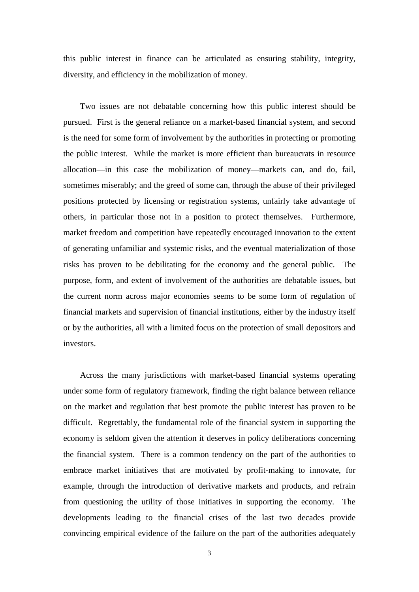this public interest in finance can be articulated as ensuring stability, integrity, diversity, and efficiency in the mobilization of money.

Two issues are not debatable concerning how this public interest should be pursued. First is the general reliance on a market-based financial system, and second is the need for some form of involvement by the authorities in protecting or promoting the public interest. While the market is more efficient than bureaucrats in resource allocation—in this case the mobilization of money—markets can, and do, fail, sometimes miserably; and the greed of some can, through the abuse of their privileged positions protected by licensing or registration systems, unfairly take advantage of others, in particular those not in a position to protect themselves. Furthermore, market freedom and competition have repeatedly encouraged innovation to the extent of generating unfamiliar and systemic risks, and the eventual materialization of those risks has proven to be debilitating for the economy and the general public. The purpose, form, and extent of involvement of the authorities are debatable issues, but the current norm across major economies seems to be some form of regulation of financial markets and supervision of financial institutions, either by the industry itself or by the authorities, all with a limited focus on the protection of small depositors and investors.

Across the many jurisdictions with market-based financial systems operating under some form of regulatory framework, finding the right balance between reliance on the market and regulation that best promote the public interest has proven to be difficult. Regrettably, the fundamental role of the financial system in supporting the economy is seldom given the attention it deserves in policy deliberations concerning the financial system. There is a common tendency on the part of the authorities to embrace market initiatives that are motivated by profit-making to innovate, for example, through the introduction of derivative markets and products, and refrain from questioning the utility of those initiatives in supporting the economy. The developments leading to the financial crises of the last two decades provide convincing empirical evidence of the failure on the part of the authorities adequately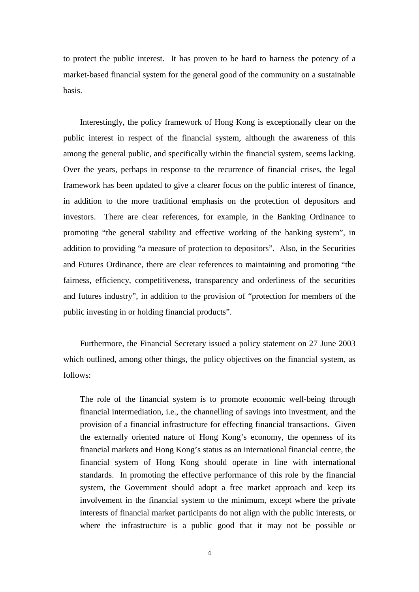to protect the public interest. It has proven to be hard to harness the potency of a market-based financial system for the general good of the community on a sustainable basis.

Interestingly, the policy framework of Hong Kong is exceptionally clear on the public interest in respect of the financial system, although the awareness of this among the general public, and specifically within the financial system, seems lacking. Over the years, perhaps in response to the recurrence of financial crises, the legal framework has been updated to give a clearer focus on the public interest of finance, in addition to the more traditional emphasis on the protection of depositors and investors. There are clear references, for example, in the Banking Ordinance to promoting "the general stability and effective working of the banking system", in addition to providing "a measure of protection to depositors". Also, in the Securities and Futures Ordinance, there are clear references to maintaining and promoting "the fairness, efficiency, competitiveness, transparency and orderliness of the securities and futures industry", in addition to the provision of "protection for members of the public investing in or holding financial products".

Furthermore, the Financial Secretary issued a policy statement on 27 June 2003 which outlined, among other things, the policy objectives on the financial system, as follows:

The role of the financial system is to promote economic well-being through financial intermediation, i.e., the channelling of savings into investment, and the provision of a financial infrastructure for effecting financial transactions. Given the externally oriented nature of Hong Kong's economy, the openness of its financial markets and Hong Kong's status as an international financial centre, the financial system of Hong Kong should operate in line with international standards. In promoting the effective performance of this role by the financial system, the Government should adopt a free market approach and keep its involvement in the financial system to the minimum, except where the private interests of financial market participants do not align with the public interests, or where the infrastructure is a public good that it may not be possible or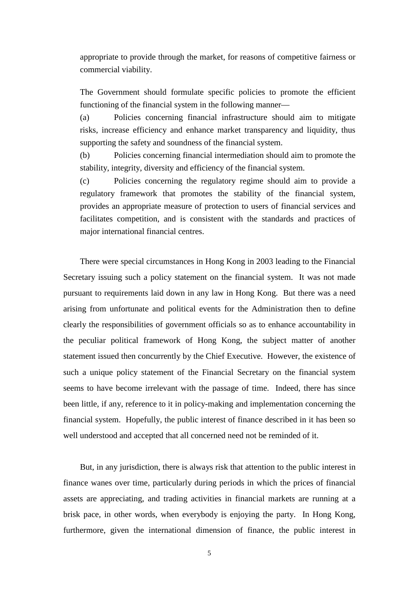appropriate to provide through the market, for reasons of competitive fairness or commercial viability.

The Government should formulate specific policies to promote the efficient functioning of the financial system in the following manner—

(a) Policies concerning financial infrastructure should aim to mitigate risks, increase efficiency and enhance market transparency and liquidity, thus supporting the safety and soundness of the financial system.

(b) Policies concerning financial intermediation should aim to promote the stability, integrity, diversity and efficiency of the financial system.

(c) Policies concerning the regulatory regime should aim to provide a regulatory framework that promotes the stability of the financial system, provides an appropriate measure of protection to users of financial services and facilitates competition, and is consistent with the standards and practices of major international financial centres.

There were special circumstances in Hong Kong in 2003 leading to the Financial Secretary issuing such a policy statement on the financial system. It was not made pursuant to requirements laid down in any law in Hong Kong. But there was a need arising from unfortunate and political events for the Administration then to define clearly the responsibilities of government officials so as to enhance accountability in the peculiar political framework of Hong Kong, the subject matter of another statement issued then concurrently by the Chief Executive. However, the existence of such a unique policy statement of the Financial Secretary on the financial system seems to have become irrelevant with the passage of time. Indeed, there has since been little, if any, reference to it in policy-making and implementation concerning the financial system. Hopefully, the public interest of finance described in it has been so well understood and accepted that all concerned need not be reminded of it.

But, in any jurisdiction, there is always risk that attention to the public interest in finance wanes over time, particularly during periods in which the prices of financial assets are appreciating, and trading activities in financial markets are running at a brisk pace, in other words, when everybody is enjoying the party. In Hong Kong, furthermore, given the international dimension of finance, the public interest in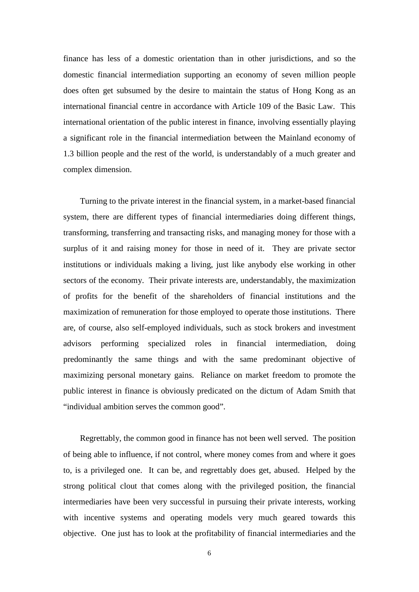finance has less of a domestic orientation than in other jurisdictions, and so the domestic financial intermediation supporting an economy of seven million people does often get subsumed by the desire to maintain the status of Hong Kong as an international financial centre in accordance with Article 109 of the Basic Law. This international orientation of the public interest in finance, involving essentially playing a significant role in the financial intermediation between the Mainland economy of 1.3 billion people and the rest of the world, is understandably of a much greater and complex dimension.

Turning to the private interest in the financial system, in a market-based financial system, there are different types of financial intermediaries doing different things, transforming, transferring and transacting risks, and managing money for those with a surplus of it and raising money for those in need of it. They are private sector institutions or individuals making a living, just like anybody else working in other sectors of the economy. Their private interests are, understandably, the maximization of profits for the benefit of the shareholders of financial institutions and the maximization of remuneration for those employed to operate those institutions. There are, of course, also self-employed individuals, such as stock brokers and investment advisors performing specialized roles in financial intermediation, doing predominantly the same things and with the same predominant objective of maximizing personal monetary gains. Reliance on market freedom to promote the public interest in finance is obviously predicated on the dictum of Adam Smith that "individual ambition serves the common good".

Regrettably, the common good in finance has not been well served. The position of being able to influence, if not control, where money comes from and where it goes to, is a privileged one. It can be, and regrettably does get, abused. Helped by the strong political clout that comes along with the privileged position, the financial intermediaries have been very successful in pursuing their private interests, working with incentive systems and operating models very much geared towards this objective. One just has to look at the profitability of financial intermediaries and the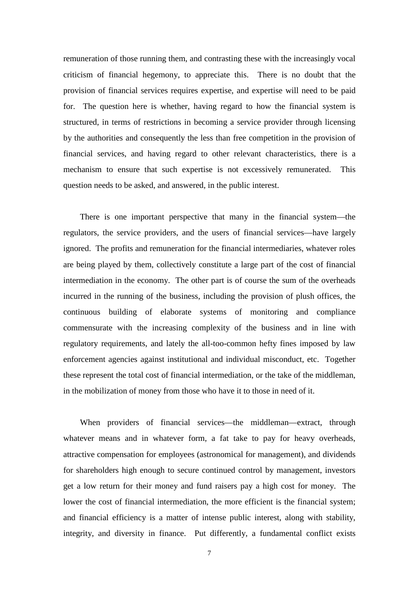remuneration of those running them, and contrasting these with the increasingly vocal criticism of financial hegemony, to appreciate this. There is no doubt that the provision of financial services requires expertise, and expertise will need to be paid for. The question here is whether, having regard to how the financial system is structured, in terms of restrictions in becoming a service provider through licensing by the authorities and consequently the less than free competition in the provision of financial services, and having regard to other relevant characteristics, there is a mechanism to ensure that such expertise is not excessively remunerated. This question needs to be asked, and answered, in the public interest.

There is one important perspective that many in the financial system—the regulators, the service providers, and the users of financial services—have largely ignored. The profits and remuneration for the financial intermediaries, whatever roles are being played by them, collectively constitute a large part of the cost of financial intermediation in the economy. The other part is of course the sum of the overheads incurred in the running of the business, including the provision of plush offices, the continuous building of elaborate systems of monitoring and compliance commensurate with the increasing complexity of the business and in line with regulatory requirements, and lately the all-too-common hefty fines imposed by law enforcement agencies against institutional and individual misconduct, etc. Together these represent the total cost of financial intermediation, or the take of the middleman, in the mobilization of money from those who have it to those in need of it.

When providers of financial services—the middleman—extract, through whatever means and in whatever form, a fat take to pay for heavy overheads, attractive compensation for employees (astronomical for management), and dividends for shareholders high enough to secure continued control by management, investors get a low return for their money and fund raisers pay a high cost for money. The lower the cost of financial intermediation, the more efficient is the financial system; and financial efficiency is a matter of intense public interest, along with stability, integrity, and diversity in finance. Put differently, a fundamental conflict exists